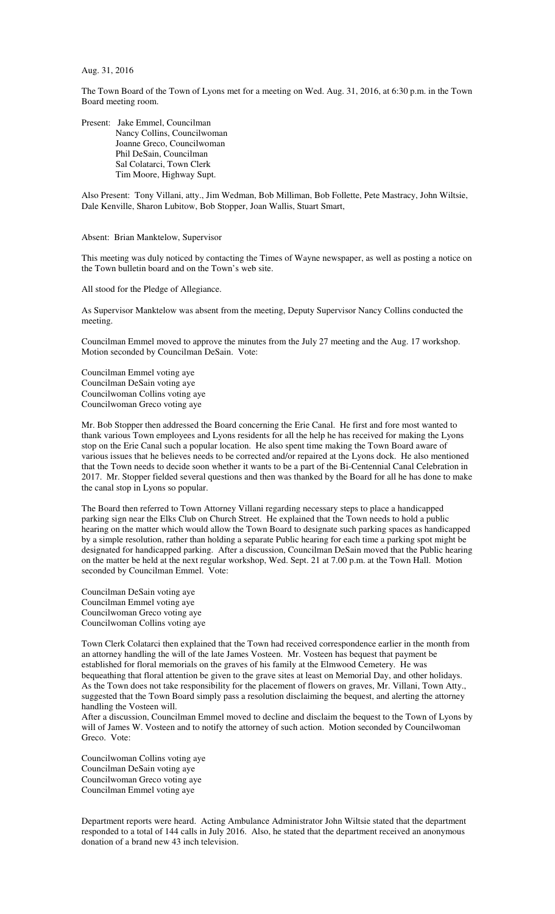## Aug. 31, 2016

The Town Board of the Town of Lyons met for a meeting on Wed. Aug. 31, 2016, at 6:30 p.m. in the Town Board meeting room.

Present: Jake Emmel, Councilman Nancy Collins, Councilwoman Joanne Greco, Councilwoman Phil DeSain, Councilman Sal Colatarci, Town Clerk Tim Moore, Highway Supt.

Also Present: Tony Villani, atty., Jim Wedman, Bob Milliman, Bob Follette, Pete Mastracy, John Wiltsie, Dale Kenville, Sharon Lubitow, Bob Stopper, Joan Wallis, Stuart Smart,

## Absent: Brian Manktelow, Supervisor

This meeting was duly noticed by contacting the Times of Wayne newspaper, as well as posting a notice on the Town bulletin board and on the Town's web site.

All stood for the Pledge of Allegiance.

As Supervisor Manktelow was absent from the meeting, Deputy Supervisor Nancy Collins conducted the meeting.

Councilman Emmel moved to approve the minutes from the July 27 meeting and the Aug. 17 workshop. Motion seconded by Councilman DeSain. Vote:

Councilman Emmel voting aye Councilman DeSain voting aye Councilwoman Collins voting aye Councilwoman Greco voting aye

Mr. Bob Stopper then addressed the Board concerning the Erie Canal. He first and fore most wanted to thank various Town employees and Lyons residents for all the help he has received for making the Lyons stop on the Erie Canal such a popular location. He also spent time making the Town Board aware of various issues that he believes needs to be corrected and/or repaired at the Lyons dock. He also mentioned that the Town needs to decide soon whether it wants to be a part of the Bi-Centennial Canal Celebration in 2017. Mr. Stopper fielded several questions and then was thanked by the Board for all he has done to make the canal stop in Lyons so popular.

The Board then referred to Town Attorney Villani regarding necessary steps to place a handicapped parking sign near the Elks Club on Church Street. He explained that the Town needs to hold a public hearing on the matter which would allow the Town Board to designate such parking spaces as handicapped by a simple resolution, rather than holding a separate Public hearing for each time a parking spot might be designated for handicapped parking. After a discussion, Councilman DeSain moved that the Public hearing on the matter be held at the next regular workshop, Wed. Sept. 21 at 7.00 p.m. at the Town Hall. Motion seconded by Councilman Emmel. Vote:

Councilman DeSain voting aye Councilman Emmel voting aye Councilwoman Greco voting aye Councilwoman Collins voting aye

Town Clerk Colatarci then explained that the Town had received correspondence earlier in the month from an attorney handling the will of the late James Vosteen. Mr. Vosteen has bequest that payment be established for floral memorials on the graves of his family at the Elmwood Cemetery. He was bequeathing that floral attention be given to the grave sites at least on Memorial Day, and other holidays. As the Town does not take responsibility for the placement of flowers on graves, Mr. Villani, Town Atty., suggested that the Town Board simply pass a resolution disclaiming the bequest, and alerting the attorney handling the Vosteen will.

After a discussion, Councilman Emmel moved to decline and disclaim the bequest to the Town of Lyons by will of James W. Vosteen and to notify the attorney of such action. Motion seconded by Councilwoman Greco. Vote:

Councilwoman Collins voting aye Councilman DeSain voting aye Councilwoman Greco voting aye Councilman Emmel voting aye

Department reports were heard. Acting Ambulance Administrator John Wiltsie stated that the department responded to a total of 144 calls in July 2016. Also, he stated that the department received an anonymous donation of a brand new 43 inch television.